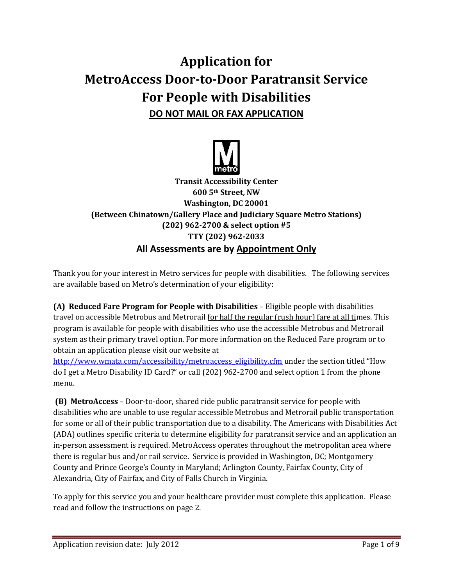# **Application for MetroAccess Door-to-Door Paratransit Service For People with Disabilities DO NOT MAIL OR FAX APPLICATION**



**Transit Accessibility Center 600 5th Street, NW Washington, DC 20001 (Between Chinatown/Gallery Place and Judiciary Square Metro Stations) (202) 962-2700 & select option #5 TTY (202) 962-2033 All Assessments are by Appointment Only**

Thank you for your interest in Metro services for people with disabilities. The following services are available based on Metro's determination of your eligibility:

**(A) Reduced Fare Program for People with Disabilities** – Eligible people with disabilities travel on accessible Metrobus and Metrorail for half the regular (rush hour) fare at all times. This program is available for people with disabilities who use the accessible Metrobus and Metrorail system as their primary travel option. For more information on the Reduced Fare program or to obtain an application please visit our website at

[http://www.wmata.com/accessibility/metroaccess\\_eligibility.cfm](http://www.wmata.com/accessibility/metroaccess_eligibility.cfm) under the section titled "How do I get a Metro Disability ID Card?" or call (202) 962-2700 and select option 1 from the phone menu.

**(B) MetroAccess** – Door-to-door, shared ride public paratransit service for people with disabilities who are unable to use regular accessible Metrobus and Metrorail public transportation for some or all of their public transportation due to a disability. The Americans with Disabilities Act (ADA) outlines specific criteria to determine eligibility for paratransit service and an application an in-person assessment is required. MetroAccess operates throughout the metropolitan area where there is regular bus and/or rail service. Service is provided in Washington, DC; Montgomery County and Prince George's County in Maryland; Arlington County, Fairfax County, City of Alexandria, City of Fairfax, and City of Falls Church in Virginia.

To apply for this service you and your healthcare provider must complete this application. Please read and follow the instructions on page 2.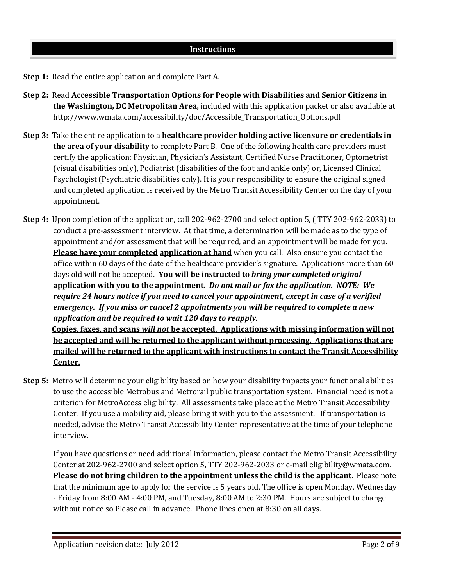- **Step 1:** Read the entire application and complete Part A.
- **Step 2:** Read **Accessible Transportation Options for People with Disabilities and Senior Citizens in the Washington, DC Metropolitan Area,** included with this application packet or also available at http://www.wmata.com/accessibility/doc/Accessible\_Transportation\_Options.pdf
- **Step 3:** Take the entire application to a **healthcare provider holding active licensure or credentials in the area of your disability** to complete Part B. One of the following health care providers must certify the application: Physician, Physician's Assistant, Certified Nurse Practitioner, Optometrist (visual disabilities only), Podiatrist (disabilities of the foot and ankle only) or, Licensed Clinical Psychologist (Psychiatric disabilities only). It is your responsibility to ensure the original signed and completed application is received by the Metro Transit Accessibility Center on the day of your appointment.
- **Step 4:** Upon completion of the application, call 202-962-2700 and select option 5, ( TTY 202-962-2033) to conduct a pre-assessment interview. At that time, a determination will be made as to the type of appointment and/or assessment that will be required, and an appointment will be made for you. **Please have your completed application at hand** when you call. Also ensure you contact the office within 60 days of the date of the healthcare provider's signature. Applications more than 60 days old will not be accepted. **You will be instructed to** *bring your completed original* **application with you to the appointment.** *Do not mail or fax the application. NOTE: We require 24 hours notice if you need to cancel your appointment, except in case of a verified emergency. If you miss or cancel 2 appointments you will be required to complete a new application and be required to wait 120 days to reapply.* **Copies, faxes, and scans** *will not* **be accepted. Applications with missing information will not**

**be accepted and will be returned to the applicant without processing. Applications that are mailed will be returned to the applicant with instructions to contact the Transit Accessibility Center.**

**Step 5:** Metro will determine your eligibility based on how your disability impacts your functional abilities to use the accessible Metrobus and Metrorail public transportation system. Financial need is not a criterion for MetroAccess eligibility. All assessments take place at the Metro Transit Accessibility Center. If you use a mobility aid, please bring it with you to the assessment. If transportation is needed, advise the Metro Transit Accessibility Center representative at the time of your telephone interview.

If you have questions or need additional information, please contact the Metro Transit Accessibility Center at 202-962-2700 and select option 5, TTY 202-962-2033 or e-mail eligibility@wmata.com. **Please do not bring children to the appointment unless the child is the applicant**. Please note that the minimum age to apply for the service is 5 years old. The office is open Monday, Wednesday - Friday from 8:00 AM - 4:00 PM, and Tuesday, 8:00 AM to 2:30 PM. Hours are subject to change without notice so Please call in advance. Phone lines open at 8:30 on all days.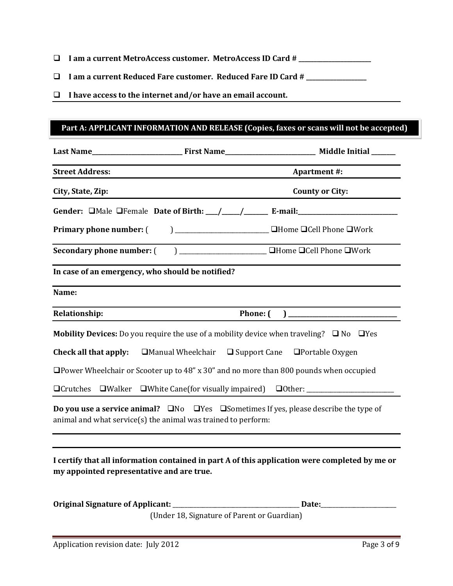- **I am a current MetroAccess customer. MetroAccess ID Card # \_\_\_\_\_\_\_\_\_\_\_\_\_\_\_\_\_\_\_\_\_\_\_\_**
- **I am a current Reduced Fare customer. Reduced Fare ID Card # \_\_\_\_\_\_\_\_\_\_\_\_\_\_\_\_\_\_\_\_**
- **I have access to the internet and/or have an email account.**

# **Part A: APPLICANT INFORMATION AND RELEASE (Copies, faxes or scans will not be accepted)**

| <b>Street Address:</b>                                                                                    |                                                               | <b>Apartment #:</b>                                                                                                                                                                                                                                                                                                                   |  |  |
|-----------------------------------------------------------------------------------------------------------|---------------------------------------------------------------|---------------------------------------------------------------------------------------------------------------------------------------------------------------------------------------------------------------------------------------------------------------------------------------------------------------------------------------|--|--|
| City, State, Zip:                                                                                         |                                                               | <b>County or City:</b>                                                                                                                                                                                                                                                                                                                |  |  |
|                                                                                                           |                                                               | Gender: DMale OFemale Date of Birth: \[mathtareformal] E-mail: \] E-mail: \] ______________________                                                                                                                                                                                                                                   |  |  |
| <b>Primary phone number:</b> (                                                                            |                                                               | $\sum_{n=1}^{\infty}$ $\sum_{n=1}^{\infty}$ $\sum_{n=1}^{\infty}$ $\sum_{n=1}^{\infty}$ $\sum_{n=1}^{\infty}$ $\sum_{n=1}^{\infty}$ $\sum_{n=1}^{\infty}$ $\sum_{n=1}^{\infty}$ $\sum_{n=1}^{\infty}$ $\sum_{n=1}^{\infty}$ $\sum_{n=1}^{\infty}$ $\sum_{n=1}^{\infty}$ $\sum_{n=1}^{\infty}$ $\sum_{n=1}^{\infty}$ $\sum_{n=1}^{\in$ |  |  |
|                                                                                                           |                                                               |                                                                                                                                                                                                                                                                                                                                       |  |  |
| In case of an emergency, who should be notified?                                                          |                                                               |                                                                                                                                                                                                                                                                                                                                       |  |  |
| Name:                                                                                                     |                                                               |                                                                                                                                                                                                                                                                                                                                       |  |  |
| <b>Relationship:</b>                                                                                      |                                                               |                                                                                                                                                                                                                                                                                                                                       |  |  |
| <b>Mobility Devices:</b> Do you require the use of a mobility device when traveling? $\Box$ No $\Box$ Yes |                                                               |                                                                                                                                                                                                                                                                                                                                       |  |  |
| Check all that apply:                                                                                     |                                                               | $\Box$ Manual Wheelchair $\Box$ Support Cane $\Box$ Portable Oxygen                                                                                                                                                                                                                                                                   |  |  |
| $\Box$ Power Wheelchair or Scooter up to 48" x 30" and no more than 800 pounds when occupied              |                                                               |                                                                                                                                                                                                                                                                                                                                       |  |  |
|                                                                                                           |                                                               | □Crutches □Walker □White Cane(for visually impaired) □Other: ___________________                                                                                                                                                                                                                                                      |  |  |
|                                                                                                           | animal and what service(s) the animal was trained to perform: | <b>Do you use a service animal?</b> $\Box$ No $\Box$ Yes $\Box$ Sometimes If yes, please describe the type of                                                                                                                                                                                                                         |  |  |
|                                                                                                           |                                                               |                                                                                                                                                                                                                                                                                                                                       |  |  |

**I certify that all information contained in part A of this application were completed by me or my appointed representative and are true.**

| <b>Original Signature of Applicant:</b> | Date:                                       |
|-----------------------------------------|---------------------------------------------|
|                                         | (Under 18, Signature of Parent or Guardian) |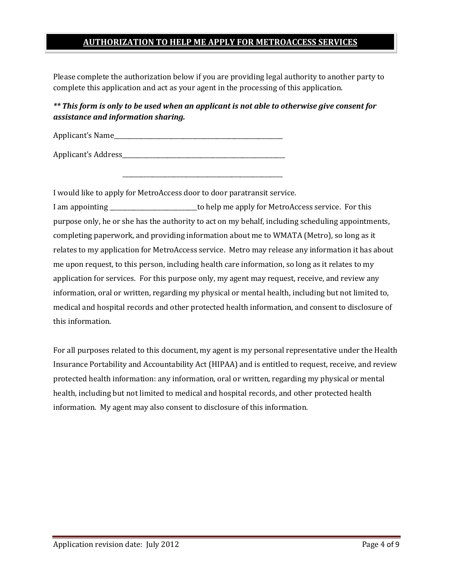# **AUTHORIZATION TO HELP ME APPLY FOR METROACCESS SERVICES**

Please complete the authorization below if you are providing legal authority to another party to complete this application and act as your agent in the processing of this application.

# *\*\* This form is only to be used when an applicant is not able to otherwise give consent for assistance and information sharing.*

Applicant's Name

Applicant's Address\_\_\_\_\_\_\_\_\_\_\_\_\_\_\_\_\_\_\_\_\_\_\_\_\_\_\_\_\_\_\_\_\_\_\_\_\_\_\_\_\_\_\_\_\_\_\_\_\_\_\_\_\_\_

I would like to apply for MetroAccess door to door paratransit service.

\_\_\_\_\_\_\_\_\_\_\_\_\_\_\_\_\_\_\_\_\_\_\_\_\_\_\_\_\_\_\_\_\_\_\_\_\_\_\_\_\_\_\_\_\_\_\_\_\_\_\_\_\_

I am appointing \_\_\_\_\_\_\_\_\_\_\_\_\_\_\_\_\_\_\_\_\_\_\_\_\_\_\_\_\_to help me apply for MetroAccess service. For this purpose only, he or she has the authority to act on my behalf, including scheduling appointments, completing paperwork, and providing information about me to WMATA (Metro), so long as it relates to my application for MetroAccess service. Metro may release any information it has about me upon request, to this person, including health care information, so long as it relates to my application for services. For this purpose only, my agent may request, receive, and review any information, oral or written, regarding my physical or mental health, including but not limited to, medical and hospital records and other protected health information, and consent to disclosure of this information.

For all purposes related to this document, my agent is my personal representative under the Health Insurance Portability and Accountability Act (HIPAA) and is entitled to request, receive, and review protected health information: any information, oral or written, regarding my physical or mental health, including but not limited to medical and hospital records, and other protected health information. My agent may also consent to disclosure of this information.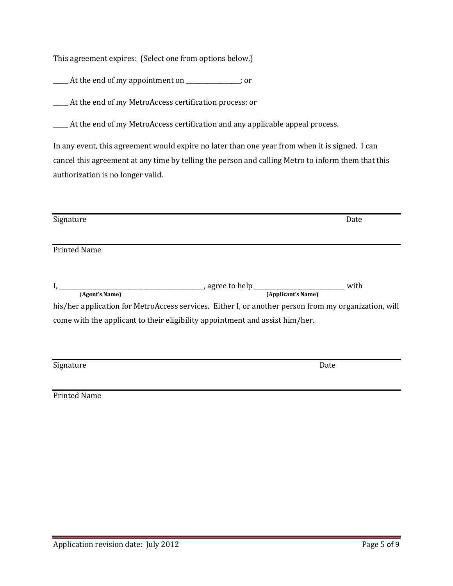This agreement expires: (Select one from options below.)

\_\_\_\_\_ At the end of my appointment on \_\_\_\_\_\_\_\_\_\_\_\_\_\_\_\_\_\_; or

\_\_\_\_\_ At the end of my MetroAccess certification process; or

\_\_\_\_\_ At the end of my MetroAccess certification and any applicable appeal process.

In any event, this agreement would expire no later than one year from when it is signed. I can cancel this agreement at any time by telling the person and calling Metro to inform them that this authorization is no longer valid.

| Signature           |                                                                                                      | Date |  |
|---------------------|------------------------------------------------------------------------------------------------------|------|--|
| <b>Printed Name</b> |                                                                                                      |      |  |
|                     |                                                                                                      |      |  |
| (Agent's Name)      | (Applicant's Name)                                                                                   | with |  |
|                     | his/her application for MetroAccess services. Either I, or another person from my organization, will |      |  |
|                     | come with the applicant to their eligibility appointment and assist him/her.                         |      |  |
|                     |                                                                                                      |      |  |
| Signature           |                                                                                                      | Date |  |
| <b>Printed Name</b> |                                                                                                      |      |  |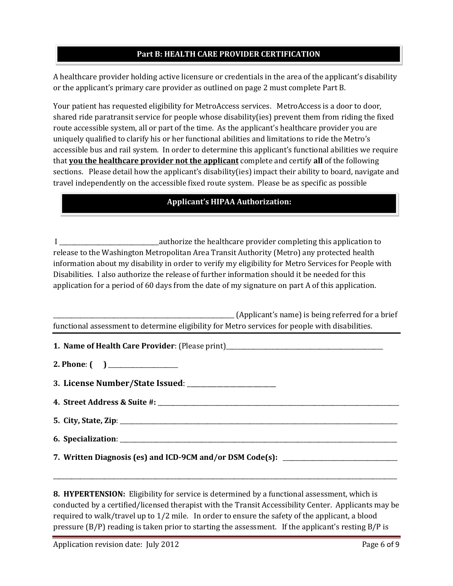#### **Part B: HEALTH CARE PROVIDER CERTIFICATION**

A healthcare provider holding active licensure or credentials in the area of the applicant's disability or the applicant's primary care provider as outlined on page 2 must complete Part B.

Your patient has requested eligibility for MetroAccess services. MetroAccess is a door to door, shared ride paratransit service for people whose disability(ies) prevent them from riding the fixed route accessible system, all or part of the time. As the applicant's healthcare provider you are uniquely qualified to clarify his or her functional abilities and limitations to ride the Metro's accessible bus and rail system. In order to determine this applicant's functional abilities we require that **you the healthcare provider not the applicant** complete and certify **all** of the following sections. Please detail how the applicant's disability(ies) impact their ability to board, navigate and travel independently on the accessible fixed route system. Please be as specific as possible.

### **Applicant's HIPAA Authorization:**

I \_\_\_\_\_\_\_\_\_\_\_\_\_\_\_\_\_\_\_\_\_\_\_\_\_\_\_\_\_\_\_\_\_authorize the healthcare provider completing this application to release to the Washington Metropolitan Area Transit Authority (Metro) any protected health information about my disability in order to verify my eligibility for Metro Services for People with Disabilities. I also authorize the release of further information should it be needed for this application for a period of 60 days from the date of my signature on part A of this application.

| (Applicant's name) is being referred for a brief                                                |
|-------------------------------------------------------------------------------------------------|
| functional assessment to determine eligibility for Metro services for people with disabilities. |

**1. Name of Health Care Provider**: (Please print)\_\_\_\_\_\_\_\_\_\_\_\_\_\_\_\_\_\_\_\_\_\_\_\_\_\_\_\_\_\_\_\_\_\_\_\_\_\_\_\_\_\_\_\_\_\_\_\_\_\_\_\_

**2. Phone**: **( )** \_\_\_\_\_\_\_\_\_\_\_\_\_\_\_\_\_\_\_\_\_\_\_

**3. License Number/State Issued**: \_\_\_\_\_\_\_\_\_\_\_\_\_\_\_\_\_\_\_\_\_\_\_\_\_\_\_

**4. Street Address & Suite #:** \_\_\_\_\_\_\_\_\_\_\_\_\_\_\_\_\_\_\_\_\_\_\_\_\_\_\_\_\_\_\_\_\_\_\_\_\_\_\_\_\_\_\_\_\_\_\_\_\_\_\_\_\_\_\_\_\_\_\_\_\_\_\_\_\_\_\_\_\_\_\_\_\_\_\_\_\_\_\_\_

- **5. City, State, Zip**: \_\_\_\_\_\_\_\_\_\_\_\_\_\_\_\_\_\_\_\_\_\_\_\_\_\_\_\_\_\_\_\_\_\_\_\_\_\_\_\_\_\_\_\_\_\_\_\_\_\_\_\_\_\_\_\_\_\_\_\_\_\_\_\_\_\_\_\_\_\_\_\_\_\_\_\_\_\_\_\_\_\_\_\_\_\_\_\_\_\_\_\_
- **6. Specialization**:

\_\_\_\_\_\_\_\_\_\_\_\_\_\_\_\_\_\_\_\_\_\_\_\_\_\_\_\_\_\_\_\_\_\_\_\_\_\_\_\_\_\_\_\_\_\_\_\_\_\_\_\_\_\_\_\_\_\_\_\_\_\_\_\_\_\_\_\_\_\_\_\_\_\_\_\_\_\_\_\_\_\_\_\_\_\_\_\_\_\_\_\_\_\_\_\_\_\_\_\_\_\_\_\_\_\_\_\_\_\_\_\_\_\_

**7. Written Diagnosis (es) and ICD-9CM and/or DSM Code(s):** \_\_\_\_\_\_\_\_\_\_\_\_\_\_\_\_\_\_\_\_\_\_\_\_\_\_\_\_\_\_\_\_\_\_\_\_\_\_

**8. HYPERTENSION:** Eligibility for service is determined by a functional assessment, which is conducted by a certified/licensed therapist with the Transit Accessibility Center. Applicants may be required to walk/travel up to 1/2 mile. In order to ensure the safety of the applicant, a blood pressure (B/P) reading is taken prior to starting the assessment. If the applicant's resting B/P is

Application revision date: July 2012 **Page 6 of 9** Page 6 of 9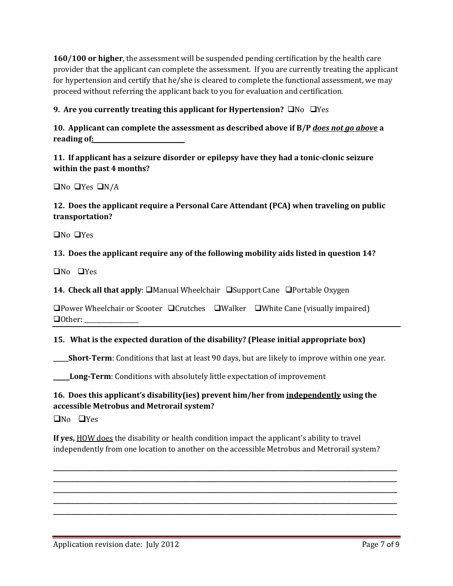**160/100 or higher**, the assessment will be suspended pending certification by the health care provider that the applicant can complete the assessment. If you are currently treating the applicant for hypertension and certify that he/she is cleared to complete the functional assessment, we may proceed without referring the applicant back to you for evaluation and certification.

## **9. Are you currently treating this applicant for Hypertension?**  $\Box$  No  $\Box$  Yes

**10. Applicant can complete the assessment as described above if B/P** *does not go above* **a reading of: \_\_\_\_\_\_\_\_\_\_\_\_\_\_\_\_\_\_\_\_\_\_**

**11. If applicant has a seizure disorder or epilepsy have they had a tonic-clonic seizure within the past 4 months?**

 $\Box$ No  $\Box$ Yes  $\Box$ N/A

## **12. Does the applicant require a Personal Care Attendant (PCA) when traveling on public transportation?**

 $\Box$ No  $\Box$ Yes

#### **13. Does the applicant require any of the following mobility aids listed in question 14?**

 $\Box$ No  $\Box$ Yes

**14. Check all that apply:**  $\Box$  Manual Wheelchair  $\Box$  Support Cane  $\Box$  Portable Oxygen

**OPower Wheelchair or Scooter OCrutches OWalker OWhite Cane (visually impaired)**  $\Box$  Other:

#### **15. What is the expected duration of the disability? (Please initial appropriate box)**

**\_\_\_\_\_Short-Term**: Conditions that last at least 90 days, but are likely to improve within one year.

**\_\_\_\_Long-Term**: Conditions with absolutely little expectation of improvement

## **16. Does this applicant's disability(ies) prevent him/her from independently using the accessible Metrobus and Metrorail system?**

 $\Box$ No  $\Box$ Yes

**If yes,** HOW does the disability or health condition impact the applicant's ability to travel independently from one location to another on the accessible Metrobus and Metrorail system?

**\_\_\_\_\_\_\_\_\_\_\_\_\_\_\_\_\_\_\_\_\_\_\_\_\_\_\_\_\_\_\_\_\_\_\_\_\_\_\_\_\_\_\_\_\_\_\_\_\_\_\_\_\_\_\_\_\_\_\_\_\_\_\_\_\_\_\_\_\_\_\_\_\_\_\_\_\_\_\_\_\_\_\_\_\_\_\_\_\_\_\_\_\_\_\_\_\_\_\_\_\_\_\_\_\_\_\_\_\_\_\_\_\_\_ \_\_\_\_\_\_\_\_\_\_\_\_\_\_\_\_\_\_\_\_\_\_\_\_\_\_\_\_\_\_\_\_\_\_\_\_\_\_\_\_\_\_\_\_\_\_\_\_\_\_\_\_\_\_\_\_\_\_\_\_\_\_\_\_\_\_\_\_\_\_\_\_\_\_\_\_\_\_\_\_\_\_\_\_\_\_\_\_\_\_\_\_\_\_\_\_\_\_\_\_\_\_\_\_\_\_\_\_\_\_\_\_\_\_ \_\_\_\_\_\_\_\_\_\_\_\_\_\_\_\_\_\_\_\_\_\_\_\_\_\_\_\_\_\_\_\_\_\_\_\_\_\_\_\_\_\_\_\_\_\_\_\_\_\_\_\_\_\_\_\_\_\_\_\_\_\_\_\_\_\_\_\_\_\_\_\_\_\_\_\_\_\_\_\_\_\_\_\_\_\_\_\_\_\_\_\_\_\_\_\_\_\_\_\_\_\_\_\_\_\_\_\_\_\_\_\_\_\_ \_\_\_\_\_\_\_\_\_\_\_\_\_\_\_\_\_\_\_\_\_\_\_\_\_\_\_\_\_\_\_\_\_\_\_\_\_\_\_\_\_\_\_\_\_\_\_\_\_\_\_\_\_\_\_\_\_\_\_\_\_\_\_\_\_\_\_\_\_\_\_\_\_\_\_\_\_\_\_\_\_\_\_\_\_\_\_\_\_\_\_\_\_\_\_\_\_\_\_\_\_\_\_\_\_\_\_\_\_\_\_\_\_\_ \_\_\_\_\_\_\_\_\_\_\_\_\_\_\_\_\_\_\_\_\_\_\_\_\_\_\_\_\_\_\_\_\_\_\_\_\_\_\_\_\_\_\_\_\_\_\_\_\_\_\_\_\_\_\_\_\_\_\_\_\_\_\_\_\_\_\_\_\_\_\_\_\_\_\_\_\_\_\_\_\_\_\_\_\_\_\_\_\_\_\_\_\_\_\_\_\_\_\_\_\_\_\_\_\_\_\_\_\_\_\_\_\_\_**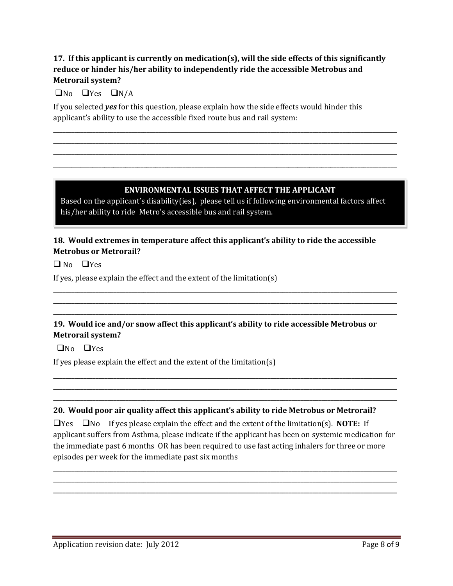# **17. If this applicant is currently on medication(s), will the side effects of this significantly reduce or hinder his/her ability to independently ride the accessible Metrobus and Metrorail system?**

**\_\_\_\_\_\_\_\_\_\_\_\_\_\_\_\_\_\_\_\_\_\_\_\_\_\_\_\_\_\_\_\_\_\_\_\_\_\_\_\_\_\_\_\_\_\_\_\_\_\_\_\_\_\_\_\_\_\_\_\_\_\_\_\_\_\_\_\_\_\_\_\_\_\_\_\_\_\_\_\_\_\_\_\_\_\_\_\_\_\_\_\_\_\_\_\_\_\_\_\_\_\_\_\_\_\_\_\_\_\_\_\_\_\_ \_\_\_\_\_\_\_\_\_\_\_\_\_\_\_\_\_\_\_\_\_\_\_\_\_\_\_\_\_\_\_\_\_\_\_\_\_\_\_\_\_\_\_\_\_\_\_\_\_\_\_\_\_\_\_\_\_\_\_\_\_\_\_\_\_\_\_\_\_\_\_\_\_\_\_\_\_\_\_\_\_\_\_\_\_\_\_\_\_\_\_\_\_\_\_\_\_\_\_\_\_\_\_\_\_\_\_\_\_\_\_\_\_\_ \_\_\_\_\_\_\_\_\_\_\_\_\_\_\_\_\_\_\_\_\_\_\_\_\_\_\_\_\_\_\_\_\_\_\_\_\_\_\_\_\_\_\_\_\_\_\_\_\_\_\_\_\_\_\_\_\_\_\_\_\_\_\_\_\_\_\_\_\_\_\_\_\_\_\_\_\_\_\_\_\_\_\_\_\_\_\_\_\_\_\_\_\_\_\_\_\_\_\_\_\_\_\_\_\_\_\_\_\_\_\_\_\_\_** \_\_\_\_\_\_\_\_\_\_\_\_\_\_\_\_\_\_\_\_\_\_\_\_\_\_\_\_\_\_\_\_\_\_\_\_\_\_\_\_\_\_\_\_\_\_\_\_\_\_\_\_\_\_\_\_\_\_\_\_\_\_\_\_\_\_\_\_\_\_\_\_\_\_\_\_\_\_\_\_\_\_\_\_\_\_\_\_\_\_\_\_\_\_\_\_\_\_\_\_\_\_\_\_\_\_\_\_\_\_\_\_\_\_

## $\Box$ No  $\Box$ Yes  $\Box$ N/A

If you selected *yes* for this question, please explain how the side effects would hinder this applicant's ability to use the accessible fixed route bus and rail system:

#### **ENVIRONMENTAL ISSUES THAT AFFECT THE APPLICANT**

Based on the applicant's disability(ies), please tell us if following environmental factors affect his/her ability to ride Metro's accessible bus and rail system.

## **18. Would extremes in temperature affect this applicant's ability to ride the accessible Metrobus or Metrorail?**

 $\Box$  No  $\Box$  Yes

If yes, please explain the effect and the extent of the limitation(s)

# **19. Would ice and/or snow affect this applicant's ability to ride accessible Metrobus or Metrorail system?**

**\_\_\_\_\_\_\_\_\_\_\_\_\_\_\_\_\_\_\_\_\_\_\_\_\_\_\_\_\_\_\_\_\_\_\_\_\_\_\_\_\_\_\_\_\_\_\_\_\_\_\_\_\_\_\_\_\_\_\_\_\_\_\_\_\_\_\_\_\_\_\_\_\_\_\_\_\_\_\_\_\_\_\_\_\_\_\_\_\_\_\_\_\_\_\_\_\_\_\_\_\_\_\_\_\_\_\_\_\_\_\_\_\_\_ \_\_\_\_\_\_\_\_\_\_\_\_\_\_\_\_\_\_\_\_\_\_\_\_\_\_\_\_\_\_\_\_\_\_\_\_\_\_\_\_\_\_\_\_\_\_\_\_\_\_\_\_\_\_\_\_\_\_\_\_\_\_\_\_\_\_\_\_\_\_\_\_\_\_\_\_\_\_\_\_\_\_\_\_\_\_\_\_\_\_\_\_\_\_\_\_\_\_\_\_\_\_\_\_\_\_\_\_\_\_\_\_\_\_ \_\_\_\_\_\_\_\_\_\_\_\_\_\_\_\_\_\_\_\_\_\_\_\_\_\_\_\_\_\_\_\_\_\_\_\_\_\_\_\_\_\_\_\_\_\_\_\_\_\_\_\_\_\_\_\_\_\_\_\_\_\_\_\_\_\_\_\_\_\_\_\_\_\_\_\_\_\_\_\_\_\_\_\_\_\_\_\_\_\_\_\_\_\_\_\_\_\_\_\_\_\_\_\_\_\_\_\_\_\_\_\_\_\_**

 $\Box$ No  $\Box$ Yes

If yes please explain the effect and the extent of the limitation(s)

#### **20. Would poor air quality affect this applicant's ability to ride Metrobus or Metrorail?**

 $\Box$ Yes  $\Box$ No If yes please explain the effect and the extent of the limitation(s). **NOTE:** If applicant suffers from Asthma, please indicate if the applicant has been on systemic medication for the immediate past 6 months OR has been required to use fast acting inhalers for three or more episodes per week for the immediate past six months

**\_\_\_\_\_\_\_\_\_\_\_\_\_\_\_\_\_\_\_\_\_\_\_\_\_\_\_\_\_\_\_\_\_\_\_\_\_\_\_\_\_\_\_\_\_\_\_\_\_\_\_\_\_\_\_\_\_\_\_\_\_\_\_\_\_\_\_\_\_\_\_\_\_\_\_\_\_\_\_\_\_\_\_\_\_\_\_\_\_\_\_\_\_\_\_\_\_\_\_\_\_\_\_\_\_\_\_\_\_\_\_\_\_\_ \_\_\_\_\_\_\_\_\_\_\_\_\_\_\_\_\_\_\_\_\_\_\_\_\_\_\_\_\_\_\_\_\_\_\_\_\_\_\_\_\_\_\_\_\_\_\_\_\_\_\_\_\_\_\_\_\_\_\_\_\_\_\_\_\_\_\_\_\_\_\_\_\_\_\_\_\_\_\_\_\_\_\_\_\_\_\_\_\_\_\_\_\_\_\_\_\_\_\_\_\_\_\_\_\_\_\_\_\_\_\_\_\_\_ \_\_\_\_\_\_\_\_\_\_\_\_\_\_\_\_\_\_\_\_\_\_\_\_\_\_\_\_\_\_\_\_\_\_\_\_\_\_\_\_\_\_\_\_\_\_\_\_\_\_\_\_\_\_\_\_\_\_\_\_\_\_\_\_\_\_\_\_\_\_\_\_\_\_\_\_\_\_\_\_\_\_\_\_\_\_\_\_\_\_\_\_\_\_\_\_\_\_\_\_\_\_\_\_\_\_\_\_\_\_\_\_\_\_** 

**\_\_\_\_\_\_\_\_\_\_\_\_\_\_\_\_\_\_\_\_\_\_\_\_\_\_\_\_\_\_\_\_\_\_\_\_\_\_\_\_\_\_\_\_\_\_\_\_\_\_\_\_\_\_\_\_\_\_\_\_\_\_\_\_\_\_\_\_\_\_\_\_\_\_\_\_\_\_\_\_\_\_\_\_\_\_\_\_\_\_\_\_\_\_\_\_\_\_\_\_\_\_\_\_\_\_\_\_\_\_\_\_\_\_ \_\_\_\_\_\_\_\_\_\_\_\_\_\_\_\_\_\_\_\_\_\_\_\_\_\_\_\_\_\_\_\_\_\_\_\_\_\_\_\_\_\_\_\_\_\_\_\_\_\_\_\_\_\_\_\_\_\_\_\_\_\_\_\_\_\_\_\_\_\_\_\_\_\_\_\_\_\_\_\_\_\_\_\_\_\_\_\_\_\_\_\_\_\_\_\_\_\_\_\_\_\_\_\_\_\_\_\_\_\_\_\_\_\_ \_\_\_\_\_\_\_\_\_\_\_\_\_\_\_\_\_\_\_\_\_\_\_\_\_\_\_\_\_\_\_\_\_\_\_\_\_\_\_\_\_\_\_\_\_\_\_\_\_\_\_\_\_\_\_\_\_\_\_\_\_\_\_\_\_\_\_\_\_\_\_\_\_\_\_\_\_\_\_\_\_\_\_\_\_\_\_\_\_\_\_\_\_\_\_\_\_\_\_\_\_\_\_\_\_\_\_\_\_\_\_\_\_\_**